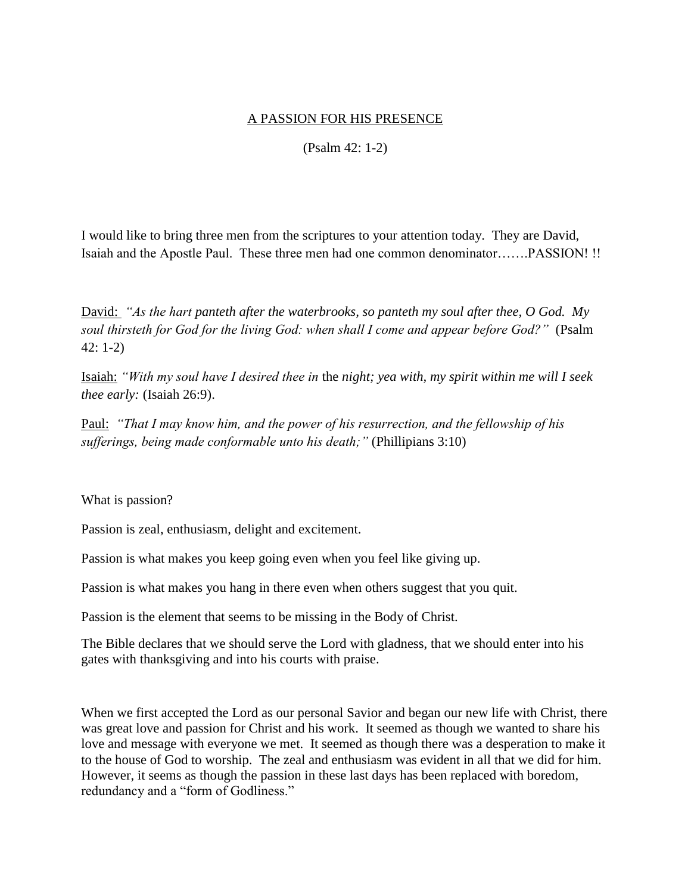## A PASSION FOR HIS PRESENCE

(Psalm 42: 1-2)

I would like to bring three men from the scriptures to your attention today. They are David, Isaiah and the Apostle Paul. These three men had one common denominator…….PASSION! !!

David: *"As the hart panteth after the waterbrooks, so panteth my soul after thee, O God. My soul thirsteth for God for the living God: when shall I come and appear before God?"* (Psalm 42: 1-2)

Isaiah: *"With my soul have I desired thee in* the *night; yea with, my spirit within me will I seek thee early:* (Isaiah 26:9).

Paul: *"That I may know him, and the power of his resurrection, and the fellowship of his sufferings, being made conformable unto his death;"* (Phillipians 3:10)

What is passion?

Passion is zeal, enthusiasm, delight and excitement.

Passion is what makes you keep going even when you feel like giving up.

Passion is what makes you hang in there even when others suggest that you quit.

Passion is the element that seems to be missing in the Body of Christ.

The Bible declares that we should serve the Lord with gladness, that we should enter into his gates with thanksgiving and into his courts with praise.

When we first accepted the Lord as our personal Savior and began our new life with Christ, there was great love and passion for Christ and his work. It seemed as though we wanted to share his love and message with everyone we met. It seemed as though there was a desperation to make it to the house of God to worship. The zeal and enthusiasm was evident in all that we did for him. However, it seems as though the passion in these last days has been replaced with boredom, redundancy and a "form of Godliness."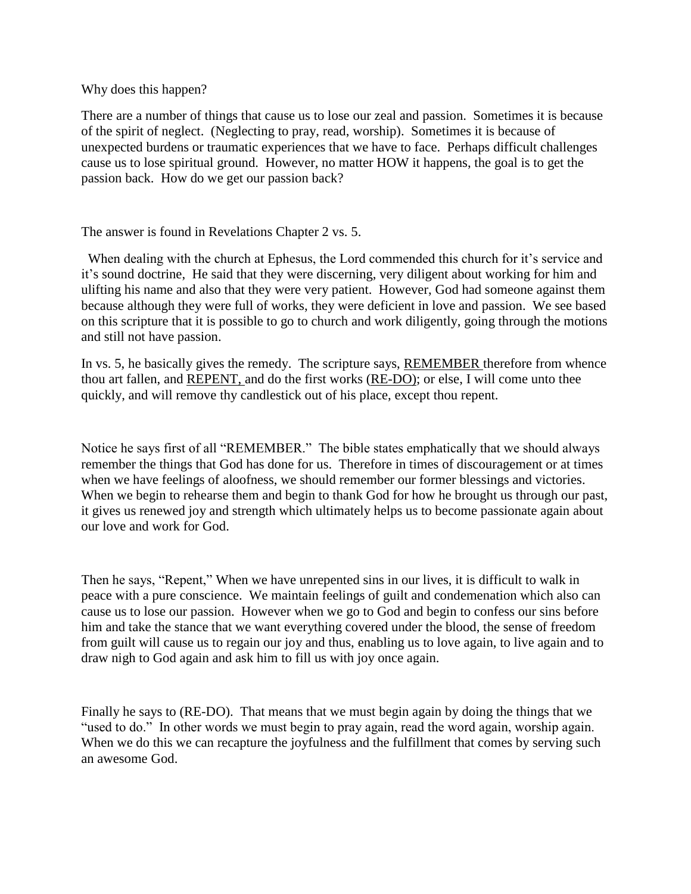## Why does this happen?

There are a number of things that cause us to lose our zeal and passion. Sometimes it is because of the spirit of neglect. (Neglecting to pray, read, worship). Sometimes it is because of unexpected burdens or traumatic experiences that we have to face. Perhaps difficult challenges cause us to lose spiritual ground. However, no matter HOW it happens, the goal is to get the passion back. How do we get our passion back?

## The answer is found in Revelations Chapter 2 vs. 5.

When dealing with the church at Ephesus, the Lord commended this church for it's service and it's sound doctrine, He said that they were discerning, very diligent about working for him and ulifting his name and also that they were very patient. However, God had someone against them because although they were full of works, they were deficient in love and passion. We see based on this scripture that it is possible to go to church and work diligently, going through the motions and still not have passion.

In vs. 5, he basically gives the remedy. The scripture says, REMEMBER therefore from whence thou art fallen, and REPENT, and do the first works (RE-DO); or else, I will come unto thee quickly, and will remove thy candlestick out of his place, except thou repent.

Notice he says first of all "REMEMBER." The bible states emphatically that we should always remember the things that God has done for us. Therefore in times of discouragement or at times when we have feelings of aloofness, we should remember our former blessings and victories. When we begin to rehearse them and begin to thank God for how he brought us through our past, it gives us renewed joy and strength which ultimately helps us to become passionate again about our love and work for God.

Then he says, "Repent," When we have unrepented sins in our lives, it is difficult to walk in peace with a pure conscience. We maintain feelings of guilt and condemenation which also can cause us to lose our passion. However when we go to God and begin to confess our sins before him and take the stance that we want everything covered under the blood, the sense of freedom from guilt will cause us to regain our joy and thus, enabling us to love again, to live again and to draw nigh to God again and ask him to fill us with joy once again.

Finally he says to (RE-DO). That means that we must begin again by doing the things that we "used to do." In other words we must begin to pray again, read the word again, worship again. When we do this we can recapture the joyfulness and the fulfillment that comes by serving such an awesome God.